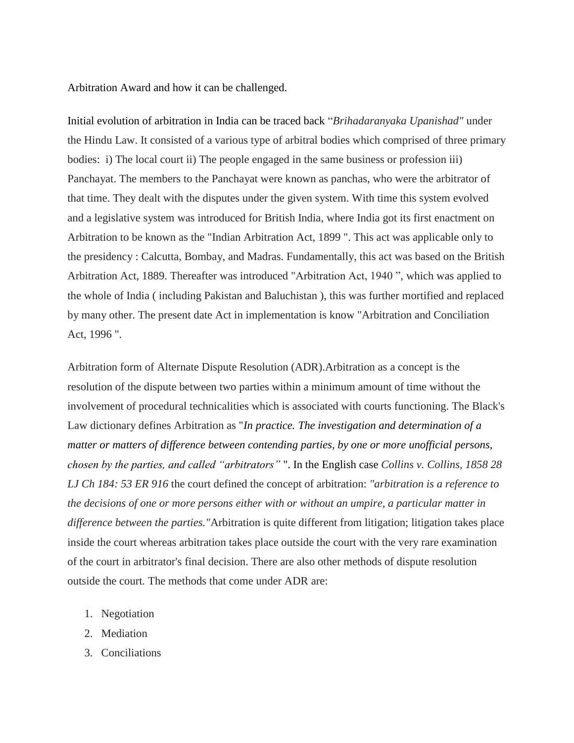Arbitration Award and how it can be challenged.

Initial evolution of arbitration in India can be traced back "*Brihadaranyaka Upanishad"* under the Hindu Law. It consisted of a various type of arbitral bodies which comprised of three primary bodies: i) The local court ii) The people engaged in the same business or profession iii) Panchayat. The members to the Panchayat were known as panchas, who were the arbitrator of that time. They dealt with the disputes under the given system. With time this system evolved and a legislative system was introduced for British India, where India got its first enactment on Arbitration to be known as the "Indian Arbitration Act, 1899 ". This act was applicable only to the presidency : Calcutta, Bombay, and Madras. Fundamentally, this act was based on the British Arbitration Act, 1889. Thereafter was introduced "Arbitration Act, 1940 ", which was applied to the whole of India ( including Pakistan and Baluchistan ), this was further mortified and replaced by many other. The present date Act in implementation is know "Arbitration and Conciliation Act, 1996 ".

Arbitration form of Alternate Dispute Resolution (ADR).Arbitration as a concept is the resolution of the dispute between two parties within a minimum amount of time without the involvement of procedural technicalities which is associated with courts functioning. The Black's Law dictionary defines Arbitration as "*In practice. The investigation and determination of a matter or matters of difference between contending parties, by one or more unofficial persons, chosen by the parties, and called "arbitrators"* ". In the English case *Collins v. Collins, 1858 28 LJ Ch 184: 53 ER 916* the court defined the concept of arbitration: *"arbitration is a reference to the decisions of one or more persons either with or without an umpire, a particular matter in difference between the parties."*Arbitration is quite different from litigation; litigation takes place inside the court whereas arbitration takes place outside the court with the very rare examination of the court in arbitrator's final decision. There are also other methods of dispute resolution outside the court*.* The methods that come under ADR are:

- 1. Negotiation
- 2. Mediation
- 3. Conciliations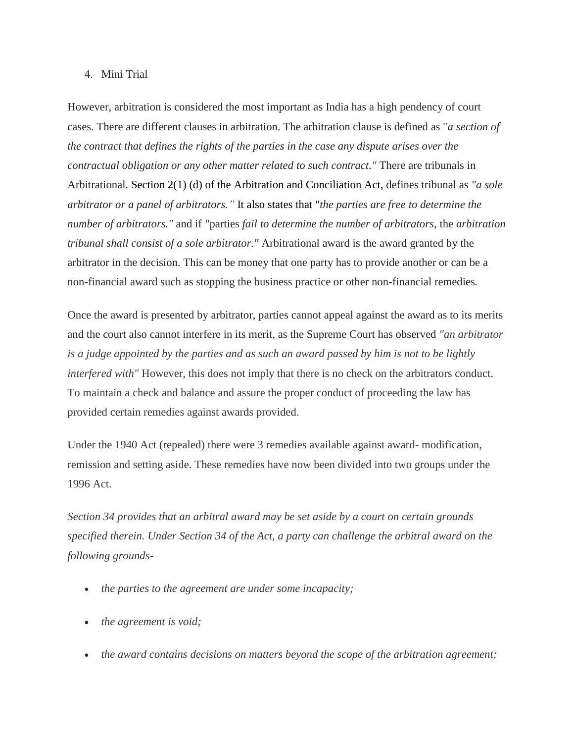## 4. Mini Trial

However, arbitration is considered the most important as India has a high pendency of court cases. There are different clauses in arbitration. The arbitration clause is defined as "*a section of the contract that defines the rights of the parties in the case any dispute arises over the contractual obligation or any other matter related to such contract."* There are tribunals in Arbitrational. [Section 2\(1\) \(d\) of the Arbitration and Conciliation Act,](https://indiankanoon.org/doc/1804257/) defines tribunal as *"a sole arbitrator or a panel of arbitrators."* It also states that "*the parties are free to determine the number of arbitrators."* and if *"*parties *fail to determine the number of arbitrators*, the *arbitration tribunal shall consist of a sole arbitrator."* Arbitrational award is the award granted by the arbitrator in the decision. This can be money that one party has to provide another or can be a non-financial award such as stopping the business practice or other non-financial remedies*.* 

Once the award is presented by arbitrator, parties cannot appeal against the award as to its merits and the court also cannot interfere in its merit, as the Supreme Court has observed *"an arbitrator is a judge appointed by the parties and as such an award passed by him is not to be lightly interfered with*" However, this does not imply that there is no check on the arbitrators conduct. To maintain a check and balance and assure the proper conduct of proceeding the law has provided certain remedies against awards provided.

Under the 1940 Act (repealed) there were 3 remedies available against award- modification, remission and setting aside. These remedies have now been divided into two groups under the 1996 Act.

*Section 34 provides that an arbitral award may be set aside by a court on certain grounds specified therein. Under Section 34 of the Act, a party can challenge the arbitral award on the following grounds-*

- *the parties to the agreement are under some incapacity;*
- *the agreement is void;*
- *the award contains decisions on matters beyond the scope of the arbitration agreement;*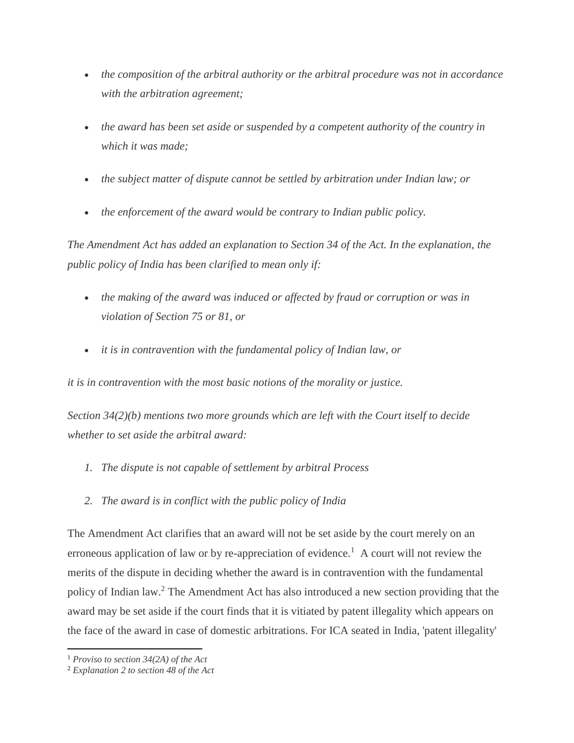- *the composition of the arbitral authority or the arbitral procedure was not in accordance with the arbitration agreement;*
- *the award has been set aside or suspended by a competent authority of the country in which it was made;*
- *the subject matter of dispute cannot be settled by arbitration under Indian law; or*
- *the enforcement of the award would be contrary to Indian public policy.*

*The Amendment Act has added an explanation to Section 34 of the Act. In the explanation, the public policy of India has been clarified to mean only if:*

- *the making of the award was induced or affected by fraud or corruption or was in violation of Section 75 or 81, or*
- *it is in contravention with the fundamental policy of Indian law, or*

*it is in contravention with the most basic notions of the morality or justice.*

*Section 34(2)(b) mentions two more grounds which are left with the Court itself to decide whether to set aside the arbitral award:*

- *1. The dispute is not capable of settlement by arbitral Process*
- *2. The award is in conflict with the public policy of India*

The Amendment Act clarifies that an award will not be set aside by the court merely on an erroneous application of law or by re-appreciation of evidence.<sup>1</sup> A court will not review the merits of the dispute in deciding whether the award is in contravention with the fundamental policy of Indian law.<sup>2</sup> The Amendment Act has also introduced a new section providing that the award may be set aside if the court finds that it is vitiated by patent illegality which appears on the face of the award in case of domestic arbitrations. For ICA seated in India, 'patent illegality'

 $\overline{a}$ 

<sup>1</sup> *Proviso to section 34(2A) of the Act*

<sup>2</sup> *Explanation 2 to section 48 of the Act*